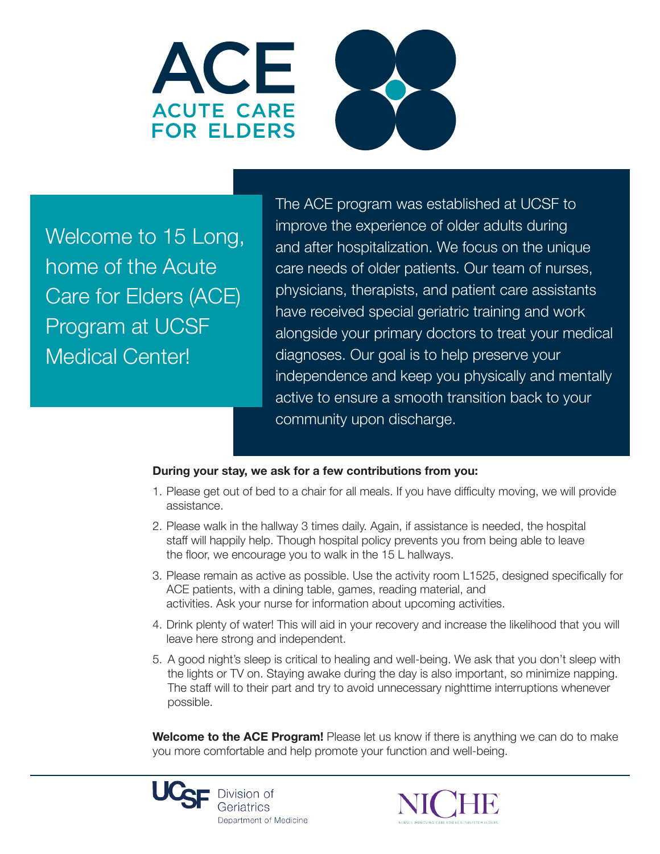



Welcome to 15 Long, home of the Acute Care for Elders (ACE) Program at UCSF Medical Center!

The ACE program was established at UCSF to improve the experience of older adults during and after hospitalization. We focus on the unique care needs of older patients. Our team of nurses, physicians, therapists, and patient care assistants have received special geriatric training and work alongside your primary doctors to treat your medical diagnoses. Our goal is to help preserve your independence and keep you physically and mentally active to ensure a smooth transition back to your community upon discharge.

## **During your stay, we ask for a few contributions from you:**

- 1. Please get out of bed to a chair for all meals. If you have difficulty moving, we will provide assistance.
- 2. Please walk in the hallway 3 times daily. Again, if assistance is needed, the hospital staff will happily help. Though hospital policy prevents you from being able to leave the floor, we encourage you to walk in the 15 L hallways.
- 3. Please remain as active as possible. Use the activity room L1525, designed specifically for ACE patients, with a dining table, games, reading material, and activities. Ask your nurse for information about upcoming activities.
- 4. Drink plenty of water! This will aid in your recovery and increase the likelihood that you will leave here strong and independent.
- 5. A good night's sleep is critical to healing and well-being. We ask that you don't sleep with the lights or TV on. Staying awake during the day is also important, so minimize napping. The staff will to their part and try to avoid unnecessary nighttime interruptions whenever possible.

**Welcome to the ACE Program!** Please let us know if there is anything we can do to make you more comfortable and help promote your function and well-being.